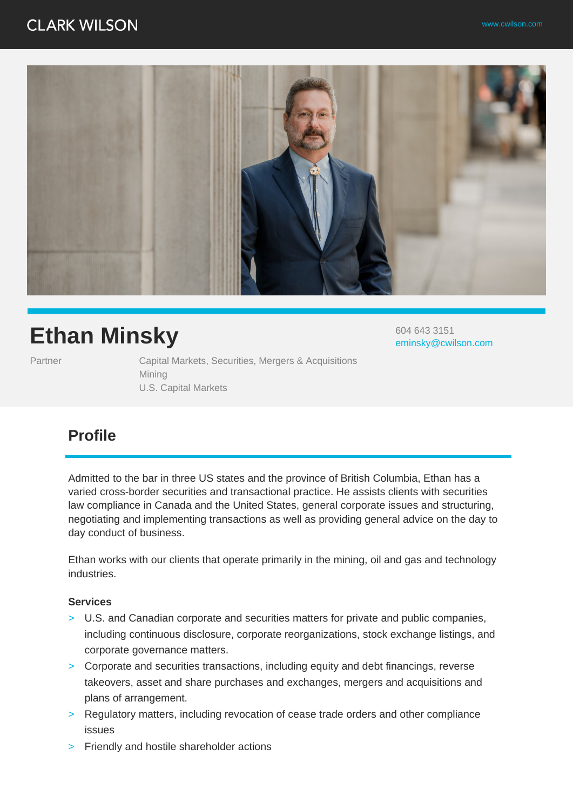

# **Ethan Minsky**

Partner **Capital Markets, Securities, Mergers & Acquisitions** Mining U.S. Capital Markets

604 643 3151 eminsky@cwilson.com

### **Profile**

Admitted to the bar in three US states and the province of British Columbia, Ethan has a varied cross-border securities and transactional practice. He assists clients with securities law compliance in Canada and the United States, general corporate issues and structuring, negotiating and implementing transactions as well as providing general advice on the day to day conduct of business.

Ethan works with our clients that operate primarily in the mining, oil and gas and technology industries.

#### **Services**

- > U.S. and Canadian corporate and securities matters for private and public companies, including continuous disclosure, corporate reorganizations, stock exchange listings, and corporate governance matters.
- > Corporate and securities transactions, including equity and debt financings, reverse takeovers, asset and share purchases and exchanges, mergers and acquisitions and plans of arrangement.
- > Regulatory matters, including revocation of cease trade orders and other compliance issues
- > Friendly and hostile shareholder actions